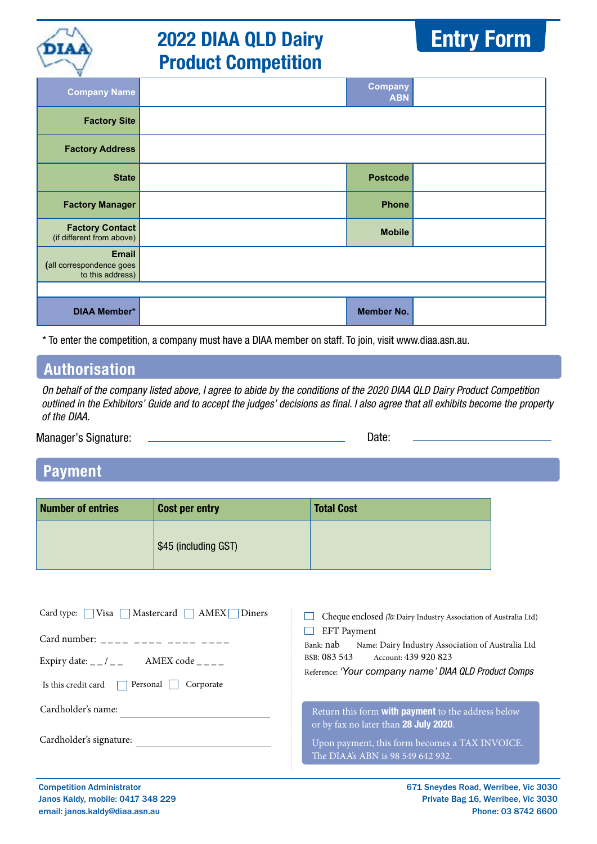

## **2022 DIAA QLD Dairy Product Competition**



| н<br><b>Company Name</b>                                     | <b>Company</b><br><b>ABN</b> |  |
|--------------------------------------------------------------|------------------------------|--|
| <b>Factory Site</b>                                          |                              |  |
| <b>Factory Address</b>                                       |                              |  |
| <b>State</b>                                                 | <b>Postcode</b>              |  |
| <b>Factory Manager</b>                                       | <b>Phone</b>                 |  |
| <b>Factory Contact</b><br>(if different from above)          | <b>Mobile</b>                |  |
| <b>Email</b><br>(all correspondence goes<br>to this address) |                              |  |
|                                                              |                              |  |
| <b>DIAA Member*</b>                                          | <b>Member No.</b>            |  |

\* To enter the competition, a company must have a DIAA member on staff. To join, visit www.diaa.asn.au.

## **Authorisation**

On behalf of the company listed above, I agree to abide by the conditions of the 2020 DIAA QLD Dairy Product Competition outlined in the Exhibitors' Guide and to accept the judges' decisions as final. I also agree that all exhibits become the property of the DIAA.

Manager's Signature: 2000 Contract Contract Contract Contract Contract Contract Contract Contract Contract Contract Contract Contract Contract Contract Contract Contract Contract Contract Contract Contract Contract Contrac

## **Payment**

| <b>Number of entries</b> | <b>Cost per entry</b> | <b>Total Cost</b> |
|--------------------------|-----------------------|-------------------|
|                          | \$45 (including GST)  |                   |

| $\blacksquare$ Mastercard $\blacksquare$ AMEX $\blacksquare$ Diners<br>Card type: $\Box$ Visa                                                                                                                                                                                                                                                                                                                                            | Cheque enclosed (To: Dairy Industry Association of Australia Ltd)                                                                                                                     |
|------------------------------------------------------------------------------------------------------------------------------------------------------------------------------------------------------------------------------------------------------------------------------------------------------------------------------------------------------------------------------------------------------------------------------------------|---------------------------------------------------------------------------------------------------------------------------------------------------------------------------------------|
| Card number: $\frac{1}{2}$ $\frac{1}{2}$ $\frac{1}{2}$ $\frac{1}{2}$ $\frac{1}{2}$ $\frac{1}{2}$ $\frac{1}{2}$ $\frac{1}{2}$ $\frac{1}{2}$ $\frac{1}{2}$ $\frac{1}{2}$ $\frac{1}{2}$ $\frac{1}{2}$ $\frac{1}{2}$ $\frac{1}{2}$ $\frac{1}{2}$ $\frac{1}{2}$ $\frac{1}{2}$ $\frac{1}{2}$ $\frac{1}{2}$ $\frac{1}{2}$<br>Expiry date: $\angle$ / $\angle$ _ AMEX code $\angle$ _ $\angle$ _<br>Personal<br>Is this credit card<br>Corporate | <b>EFT</b> Payment<br>Bank: nab<br>Name: Dairy Industry Association of Australia Ltd<br>BSB: 083 543<br>Account: 439 920 823<br>Reference: 'Your company name' DIAA QLD Product Comps |
| Cardholder's name:                                                                                                                                                                                                                                                                                                                                                                                                                       | Return this form <b>with payment</b> to the address below<br>or by fax no later than 28 July 2020.                                                                                    |
| Cardholder's signature:                                                                                                                                                                                                                                                                                                                                                                                                                  | Upon payment, this form becomes a TAX INVOICE.<br>The DIAA's ABN is 98 549 642 932.                                                                                                   |